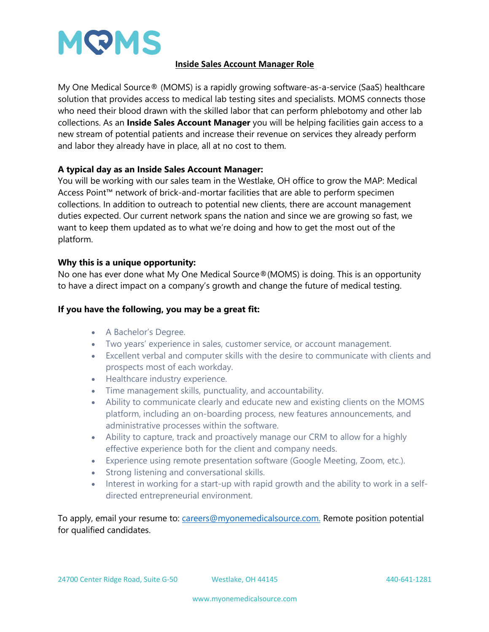

## **Inside Sales Account Manager Role**

My One Medical Source® (MOMS) is a rapidly growing software-as-a-service (SaaS) healthcare solution that provides access to medical lab testing sites and specialists. MOMS connects those who need their blood drawn with the skilled labor that can perform phlebotomy and other lab collections. As an **Inside Sales Account Manager** you will be helping facilities gain access to a new stream of potential patients and increase their revenue on services they already perform and labor they already have in place, all at no cost to them.

## **A typical day as an Inside Sales Account Manager:**

You will be working with our sales team in the Westlake, OH office to grow the MAP: Medical Access Point™ network of brick-and-mortar facilities that are able to perform specimen collections. In addition to outreach to potential new clients, there are account management duties expected. Our current network spans the nation and since we are growing so fast, we want to keep them updated as to what we're doing and how to get the most out of the platform.

## **Why this is a unique opportunity:**

No one has ever done what My One Medical Source®(MOMS) is doing. This is an opportunity to have a direct impact on a company's growth and change the future of medical testing.

## **If you have the following, you may be a great fit:**

- A Bachelor's Degree.
- Two years' experience in sales, customer service, or account management.
- Excellent verbal and computer skills with the desire to communicate with clients and prospects most of each workday.
- Healthcare industry experience.
- Time management skills, punctuality, and accountability.
- Ability to communicate clearly and educate new and existing clients on the MOMS platform, including an on-boarding process, new features announcements, and administrative processes within the software.
- Ability to capture, track and proactively manage our CRM to allow for a highly effective experience both for the client and company needs.
- Experience using remote presentation software (Google Meeting, Zoom, etc.).
- Strong listening and conversational skills.
- Interest in working for a start-up with rapid growth and the ability to work in a selfdirected entrepreneurial environment.

To apply, email your resume to: careers@myonemedicalsource.com. Remote position potential for qualified candidates.